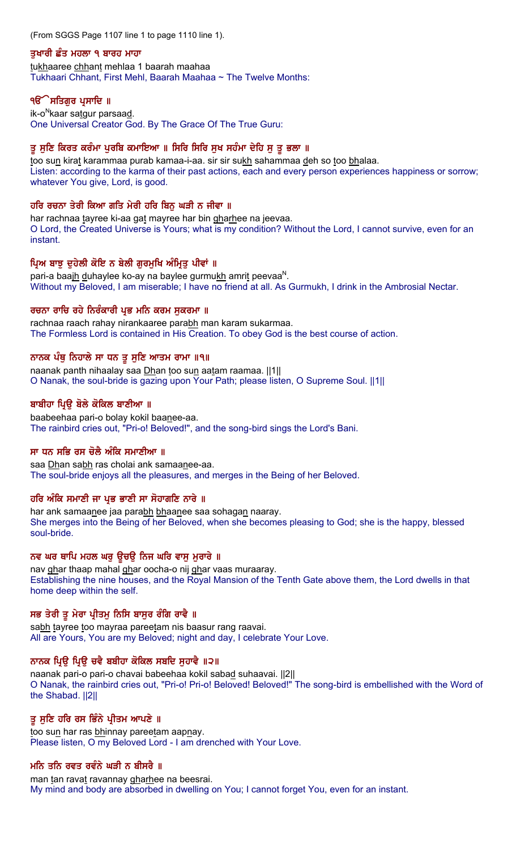(From SGGS Page 1107 line 1 to page 1110 line 1).

### ਤਖਾਰੀ ਛੰਤ ਮਹਲਾ ੧ ਬਾਰਹ ਮਾਹਾ

tukhaaree chhant mehlaa 1 baarah maahaa Tukhaari Chhant, First Mehl, Baarah Maahaa ~ The Twelve Months:

### ੧**ੳੇਸਤਿਗਰ ਪ੍ਰਸਾਦਿ** ॥

ik-o<sup>N</sup>kaar satgur parsaad. One Universal Creator God. By The Grace Of The True Guru:

## ਤੂ ਸੁਣਿ ਕਿਰਤ ਕਰੰਮਾ ਪੁਰਬਿ ਕਮਾਇਆ ॥ ਸਿਰਿ ਸਿਰਿ ਸੁਖ ਸਹੰਮਾ ਦੇਹਿ ਸੁ ਤੂ ਭਲਾ ॥

too sun kirat karammaa purab kamaa-i-aa. sir sir sukh sahammaa deh so too bhalaa. Listen: according to the karma of their past actions, each and every person experiences happiness or sorrow; whatever You give, Lord, is good.

### ਹਰਿ ਰਚਨਾ ਤੇਰੀ ਕਿਆ ਗਤਿ ਮੇਰੀ ਹਰਿ ਬਿਨ ਘੜੀ ਨ ਜੀਵਾ ॥

har rachnaa tayree ki-aa gat mayree har bin gharhee na jeevaa. O Lord, the Created Universe is Yours; what is my condition? Without the Lord, I cannot survive, even for an instant.

## ਪ੍ਰਿਅ ਬਾਝੂ ਦੁਹੇਲੀ ਕੋਇ ਨ ਬੇਲੀ ਗੁਰਮੁਖਿ ਅੰਮ੍ਰਿਤੂ ਪੀਵਾਂ ॥

pari-a baajh duhaylee ko-ay na baylee gurmukh amrit peevaa<sup>N</sup>. Without my Beloved, I am miserable; I have no friend at all. As Gurmukh, I drink in the Ambrosial Nectar.

## ਰਚਨਾ ਰਾਚਿ ਰਹੇ ਨਿਰੰਕਾਰੀ ਪ੍ਰਭ ਮਨਿ ਕਰਮ ਸੁਕਰਮਾ ॥

rachnaa raach rahay nirankaaree parabh man karam sukarmaa. The Formless Lord is contained in His Creation. To obey God is the best course of action.

## ਨਾਨਕ ਪੰਥੁ ਨਿਹਾਲੇ ਸਾ ਧਨ ਤੁ ਸੁਣਿ ਆਤਮ ਰਾਮਾ ॥੧॥

naanak panth nihaalay saa Dhan too sun aatam raamaa. ||1|| O Nanak, the soul-bride is gazing upon Your Path; please listen, O Supreme Soul. ||1||

## ਬਾਬੀਹਾ ਪਿ਼ੳ ਬੋਲੇ ਕੋਕਿਲ ਬਾਣੀਆ ॥

baabeehaa pari-o bolay kokil baanee-aa. The rainbird cries out, "Pri-o! Beloved!", and the song-bird sings the Lord's Bani.

### ਸਾ ਧਨ ਸਭਿ ਰਸ ਚੋਲੈ ਅੰਕਿ ਸਮਾਣੀਆ ॥

saa Dhan sabh ras cholai ank samaanee-aa. The soul-bride enjoys all the pleasures, and merges in the Being of her Beloved.

### ਹਰਿ ਅੰਕਿ ਸਮਾਣੀ ਜਾ ਪ੍ਰਭ ਭਾਣੀ ਸਾ ਸੋਹਾਗਣਿ ਨਾਰੇ ॥

har ank samaanee jaa parabh bhaanee saa sohagan naaray. She merges into the Being of her Beloved, when she becomes pleasing to God; she is the happy, blessed soul-bride.

### ਨਵ ਘਰ ਥਾਪਿ ਮਹਲ ਘਰੁ ਉਚਉ ਨਿਜ ਘਰਿ ਵਾਸੁ ਮੁਰਾਰੇ ॥

nav ghar thaap mahal ghar oocha-o nij ghar vaas muraaray. Establishing the nine houses, and the Royal Mansion of the Tenth Gate above them, the Lord dwells in that home deep within the self.

## ਸਭ ਤੇਰੀ ਤੁ ਮੇਰਾ ਪ੍ਰੀਤਮੁ ਨਿਸਿ ਬਾਸੁਰ ਰੰਗਿ ਰਾਵੈ ॥

sabh tayree too mayraa pareetam nis baasur rang raavai. All are Yours, You are my Beloved; night and day, I celebrate Your Love.

### ਨਾਨਕ ਪਿੳ ਪਿੳ ਚਵੈ ਬਬੀਹਾ ਕੋਕਿਲ ਸਬਦਿ ਸਹਾਵੈ ॥੨॥

naanak pari-o pari-o chavai babeehaa kokil sabad suhaavai. [2] O Nanak, the rainbird cries out, "Pri-o! Pri-o! Beloved! Beloved!" The song-bird is embellished with the Word of the Shabad. ||2||

## ਤੂ ਸੁਣਿ ਹਰਿ ਰਸ ਭਿੰਨੇ ਪ੍ਰੀਤਮ ਆਪਣੇ ॥

too sun har ras bhinnay pareetam aapnay. Please listen, O my Beloved Lord - I am drenched with Your Love.

### ਮਨਿ ਤਨਿ ਰਵਤ ਰਵੰਨੇ ਘੜੀ ਨ ਬੀਸਰੈ ॥

man tan ravat ravannay gharhee na beesrai. My mind and body are absorbed in dwelling on You; I cannot forget You, even for an instant.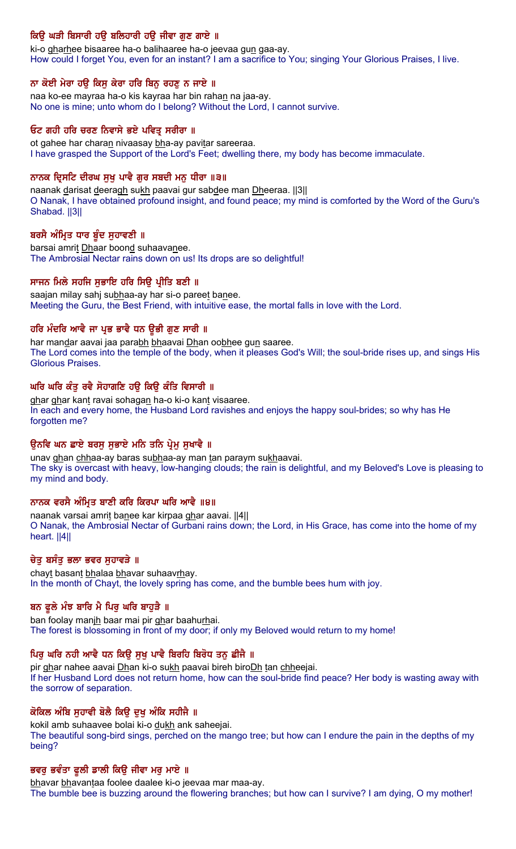# ਕਿਉ ਘੜੀ ਬਿਸਾਰੀ ਹਉ ਬਲਿਹਾਰੀ ਹਉ ਜੀਵਾ ਗੁਣ ਗਾਏ ॥

ki-o gharhee bisaaree ha-o balihaaree ha-o jeevaa gun gaa-ay. How could I forget You, even for an instant? I am a sacrifice to You; singing Your Glorious Praises, I live.

## ਨਾ ਕੋਈ ਮੇਰਾ ਹਉ ਕਿਸੁ ਕੇਰਾ ਹਰਿ ਬਿਨੁ ਰਹਣੁ ਨ ਜਾਏ ॥

naa ko-ee mayraa ha-o kis kayraa har bin rahan na jaa-ay. No one is mine; unto whom do I belong? Without the Lord, I cannot survive.

## ਓਟ ਗਹੀ ਹਰਿ ਚਰਣ ਨਿਵਾਸੇ ਭਏ ਪਵਿਤ੍ਰ ਸਰੀਰਾ ॥

ot gahee har charan nivaasay bha-ay pavitar sareeraa. I have grasped the Support of the Lord's Feet; dwelling there, my body has become immaculate.

## ਨਾਨਕ ਦਿਸਟਿ ਦੀਰਘ ਸਖ ਪਾਵੈ ਗਰ ਸਬਦੀ ਮਨ ਧੀਰਾ ॥੩॥

naanak darisat deeragh sukh paavai gur sabdee man Dheeraa. [3] O Nanak, I have obtained profound insight, and found peace; my mind is comforted by the Word of the Guru's Shabad. ||3||

## ਬਰਸੈ ਅੰਮ੍ਰਿਤ ਧਾਰ ਬੁੰਦ ਸੁਹਾਵਣੀ ॥

barsai amrit Dhaar boond suhaavanee. The Ambrosial Nectar rains down on us! Its drops are so delightful!

## ਸਾਜਨ ਮਿਲੇ ਸਹਜਿ ਸਭਾਇ ਹਰਿ ਸਿੳ ਪ੍ਰੀਤਿ ਬਣੀ ॥

saajan milay sahj subhaa-ay har si-o pareet banee. Meeting the Guru, the Best Friend, with intuitive ease, the mortal falls in love with the Lord.

## ਹਰਿ ਮੰਦਰਿ ਆਵੈ ਜਾ ਪ੍ਰਭ ਭਾਵੈ ਧਨ ਉਭੀ ਗੁਣ ਸਾਰੀ ॥

har mandar aavai jaa parabh bhaavai Dhan oobhee gun saaree. The Lord comes into the temple of the body, when it pleases God's Will; the soul-bride rises up, and sings His Glorious Praises.

### ਘਰਿ ਘਰਿ ਕੰਤੂ ਰਵੈ ਸੋਹਾਗਣਿ ਹਉ ਕਿਉ ਕੰਤਿ ਵਿਸਾਰੀ ॥

ghar ghar kant ravai sohagan ha-o ki-o kant visaaree. In each and every home, the Husband Lord ravishes and enjoys the happy soul-brides; so why has He forgotten me?

### ਉਨਵਿ ਘਨ ਛਾਏ ਬਰਸੂ ਸੁਭਾਏ ਮਨਿ ਤਨਿ ਪ੍ਰੇਮੂ ਸੁਖਾਵੈ ॥

unav ghan chhaa-ay baras subhaa-ay man tan paraym sukhaavai. The sky is overcast with heavy, low-hanging clouds; the rain is delightful, and my Beloved's Love is pleasing to my mind and body.

### ਨਾਨਕ ਵਰਸੈ ਅੰਮ੍ਰਿਤ ਬਾਣੀ ਕਰਿ ਕਿਰਪਾ ਘਰਿ ਆਵੈ ॥੪॥

naanak varsai amrit banee kar kirpaa ghar aavai. [4] O Nanak, the Ambrosial Nectar of Gurbani rains down; the Lord, in His Grace, has come into the home of my heart. ||4||

### ਚੇਤ ਬਸੰਤ ਭਲਾ ਭਵਰ ਸਹਾਵੜੇ ॥

chayt basant bhalaa bhavar suhaavrhay. In the month of Chayt, the lovely spring has come, and the bumble bees hum with joy.

### ਬਨ ਫੁਲੇ ਮੱਝ ਬਾਰਿ ਮੈ ਪਿਰੂ ਘਰਿ ਬਾਹੁੜੈ ॥

ban foolay manjh baar mai pir ghar baahurhai. The forest is blossoming in front of my door; if only my Beloved would return to my home!

## ਪਿਰੂ ਘਰਿ ਨਹੀ ਆਵੈ ਧਨ ਕਿਉ ਸੁਖ਼ ਪਾਵੈ ਬਿਰਹਿ ਬਿਰੋਧ ਤਨੂ ਛੀਜੈ ॥

pir ghar nahee aavai Dhan ki-o sukh paavai bireh biroDh tan chheejai. If her Husband Lord does not return home, how can the soul-bride find peace? Her body is wasting away with the sorrow of separation.

### ਕੋਕਿਲ ਅੰਬਿ ਸੁਹਾਵੀ ਬੋਲੈ ਕਿਉ ਦੁਖੁ ਅੰਕਿ ਸਹੀਜੈ ॥

kokil amb suhaavee bolai ki-o dukh ank saheejai. The beautiful song-bird sings, perched on the mango tree; but how can I endure the pain in the depths of my being?

### ਭਵਰੂ ਭਵੰਤਾ ਫੁਲੀ ਡਾਲੀ ਕਿਉ ਜੀਵਾ ਮਰੁ ਮਾਏ ॥

bhavar bhavantaa foolee daalee ki-o jeevaa mar maa-ay. The bumble bee is buzzing around the flowering branches; but how can I survive? I am dying, O my mother!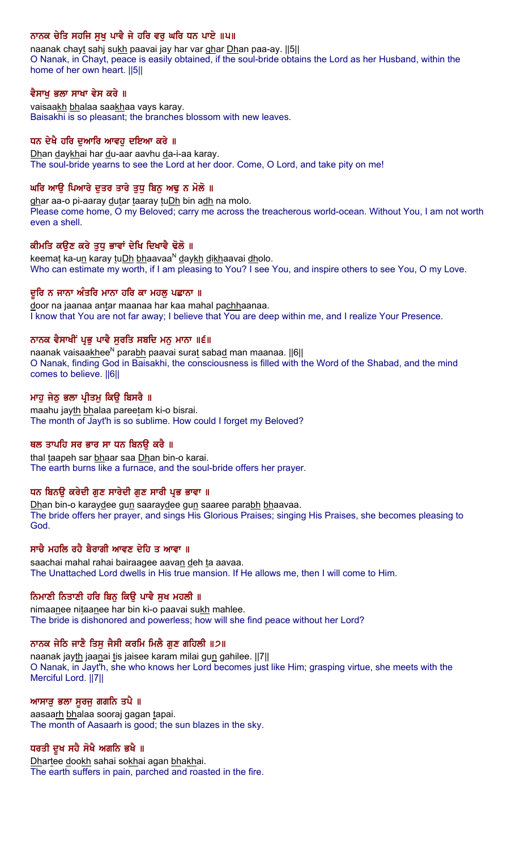## ਨਾਨਕ ਚੇਤਿ ਸਹਜਿ ਸੁਖੂ ਪਾਵੈ ਜੇ ਹਰਿ ਵਰੂ ਘਰਿ ਧਨ ਪਾਏ ॥੫॥

naanak chayt sahj sukh paavai jay har var ghar Dhan paa-ay. [5] O Nanak, in Chayt, peace is easily obtained, if the soul-bride obtains the Lord as her Husband, within the home of her own heart. ||5||

### ਵੈਸਾਖ ਭਲਾ ਸਾਖਾ ਵੇਸ ਕਰੇ ॥

vaisaakh bhalaa saakhaa vays karay. Baisakhi is so pleasant; the branches blossom with new leaves.

## ਧਨ ਦੇਖੈ ਹਰਿ ਦਆਰਿ ਆਵਹ ਦਇਆ ਕਰੇ ॥

Dhan daykhai har du-aar aavhu da-i-aa karay. The soul-bride yearns to see the Lord at her door. Come, O Lord, and take pity on me!

## ਘਰਿ ਆਉ ਪਿਆਰੇ ਦੁਤਰ ਤਾਰੇ ਤੁਧੂ ਬਿਨੂ ਅਢੁ ਨ ਮੋਲੋ ॥

ghar aa-o pi-aaray dutar taaray tuDh bin adh na molo. Please come home, O my Beloved; carry me across the treacherous world-ocean. Without You, I am not worth even a shell.

## ਕੀਮਤਿ ਕਉਣ ਕਰੇ ਤੁਧੂ ਭਾਵਾਂ ਦੇਖਿ ਦਿਖਾਵੈ ਢੋਲੋ ॥

keemat ka-un karay tuDh bhaavaa<sup>N</sup> daykh dikhaavai dholo. Who can estimate my worth, if I am pleasing to You? I see You, and inspire others to see You, O my Love.

### ਦੁਰਿ ਨ ਜਾਨਾ ਅੰਤਰਿ ਮਾਨਾ ਹਰਿ ਕਾ ਮਹਲੂ ਪਛਾਨਾ ॥

door na jaanaa antar maanaa har kaa mahal pachhaanaa. I know that You are not far away; I believe that You are deep within me, and I realize Your Presence.

## ਨਾਨਕ ਵੈਸਾਖੀਂ ਪ੍ਰਭੂ ਪਾਵੈ ਸੁਰਤਿ ਸਬਦਿ ਮਨੁ ਮਾਨਾ ॥੬॥

naanak vaisaakhee<sup>N</sup> parabh paavai surat sabad man maanaa. ||6|| O Nanak, finding God in Baisakhi, the consciousness is filled with the Word of the Shabad, and the mind comes to believe. ||6||

### ਮਾਹੂ ਜੇਠੂ ਭਲਾ ਪ੍ਰੀਤਮੂ ਕਿਉ ਬਿਸਰੈ ॥

maahu jayth bhalaa pareetam ki-o bisrai. The month of Jayt'h is so sublime. How could I forget my Beloved?

### ਥਲ ਤਾਪਹਿ ਸਰ ਭਾਰ ਸਾ ਧਨ ਬਿਨੳ ਕਰੈ ॥

thal taapeh sar bhaar saa Dhan bin-o karai. The earth burns like a furnace, and the soul-bride offers her prayer.

### ਧਨ ਬਿਨਉ ਕਰੇਦੀ ਗੁਣ ਸਾਰੇਦੀ ਗੁਣ ਸਾਰੀ ਪ੍ਰਭ ਭਾਵਾ ॥

Dhan bin-o karaydee gun saaraydee gun saaree parabh bhaavaa. The bride offers her prayer, and sings His Glorious Praises; singing His Praises, she becomes pleasing to God.

### ਸਾਚੈ ਮਹਲਿ ਰਹੈ ਬੈਰਾਗੀ ਆਵਣ ਦੇਹਿ ਤ ਆਵਾ ॥

saachai mahal rahai bairaagee aavan deh ta aavaa. The Unattached Lord dwells in His true mansion. If He allows me, then I will come to Him.

## ਨਿਮਾਣੀ ਨਿਤਾਣੀ ਹਰਿ ਬਿਨੂ ਕਿਉ ਪਾਵੈ ਸੁਖ ਮਹਲੀ ॥

nimaanee nitaanee har bin ki-o paavai sukh mahlee. The bride is dishonored and powerless; how will she find peace without her Lord?

### ਨਾਨਕ ਜੇਠਿ ਜਾਣੈ ਤਿਸੁ ਜੈਸੀ ਕਰਮਿ ਮਿਲੈ ਗੁਣ ਗਹਿਲੀ ॥੭॥

naanak jayth jaanai tis jaisee karam milai gun gahilee. ||7|| O Nanak, in Jayt'h, she who knows her Lord becomes just like Him; grasping virtue, she meets with the Merciful Lord. ||7||

### ਆਸਾੜੂ ਭਲਾ ਸੁਰਜੁ ਗਗਨਿ ਤਪੈ ॥

aasaarh bhalaa sooraj gagan tapai. The month of Aasaarh is good; the sun blazes in the sky.

### ਧਰਤੀ ਦੁਖ ਸਹੈ ਸੋਖੈ ਅਗਨਿ ਭਖੈ ॥

Dhartee dookh sahai sokhai agan bhakhai. The earth suffers in pain, parched and roasted in the fire.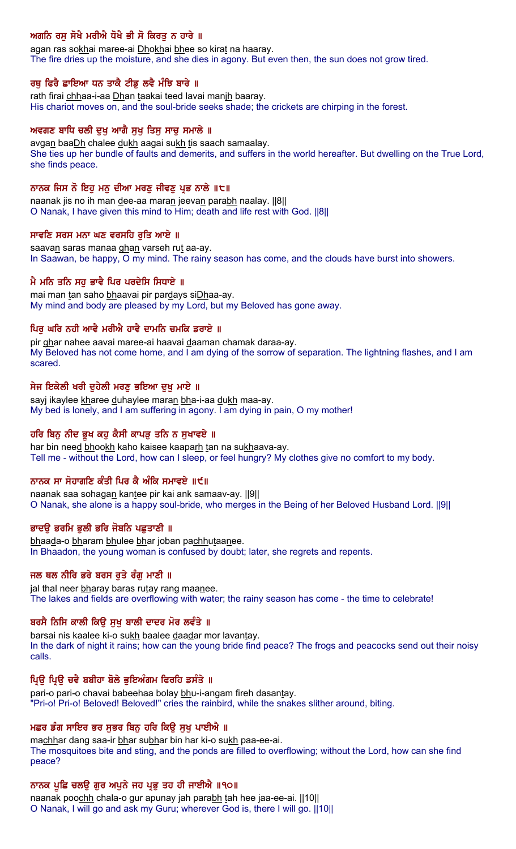# ਅਗਨਿ ਰਸੂ ਸੋਖੈ ਮਰੀਐ ਧੋਖੈ ਭੀ ਸੋ ਕਿਰਤੂ ਨ ਹਾਰੇ ॥

agan ras sokhai maree-ai Dhokhai bhee so kirat na haaray. The fire dries up the moisture, and she dies in agony. But even then, the sun does not grow tired.

## ਰਥ ਫਿਰੈ ਛਾਇਆ ਧਨ ਤਾਕੈ ਟੀਡ ਲਵੈ ਮੰਝਿ ਬਾਰੇ ॥

rath firai chhaa-i-aa Dhan taakai teed lavai manih baaray. His chariot moves on, and the soul-bride seeks shade; the crickets are chirping in the forest.

### ਅਵਗਣ ਬਾਧਿ ਚਲੀ ਦੁਖ਼ ਆਗੈ ਸੁਖ਼ ਤਿਸੁ ਸਾਚੁ ਸਮਾਲੇ ॥

avgan baaDh chalee dukh aagai sukh tis saach samaalay. She ties up her bundle of faults and demerits, and suffers in the world hereafter. But dwelling on the True Lord, she finds peace.

### ਨਾਨਕ ਜਿਸ ਨੋ ਇਹੁ ਮਨੁ ਦੀਆ ਮਰਣੁ ਜੀਵਣੁ ਪ੍ਰਭ ਨਾਲੇ ॥੮॥

naanak jis no ih man dee-aa maran jeevan parabh naalay. [8] O Nanak, I have given this mind to Him; death and life rest with God. ||8||

### ਸਾਵਣਿ ਸਰਸ ਮਨਾ ਘਣ ਵਰਸਹਿ ਰਤਿ ਆਏ ॥

saavan saras manaa ghan varseh rut aa-ay. In Saawan, be happy, O my mind. The rainy season has come, and the clouds have burst into showers.

### . ਮੈ ਮਨਿ ਤਨਿ ਸਹ ਭਾਵੈ ਪਿਰ ਪਰਦੇਸਿ ਸਿਧਾਏ ॥

mai man tan saho bhaavai pir pardays siDhaa-ay. My mind and body are pleased by my Lord, but my Beloved has gone away.

### ਪਿਰੂ ਘਰਿ ਨਹੀ ਆਵੈ ਮਰੀਐ ਹਾਵੈ ਦਾਮਨਿ ਚਮਕਿ ਡਰਾਏ ॥

pir ghar nahee aavai maree-ai haavai daaman chamak daraa-ay. My Beloved has not come home, and I am dying of the sorrow of separation. The lightning flashes, and I am scared.

### ਸੇਜ ਇਕੇਲੀ ਖਰੀ ਦੁਹੇਲੀ ਮਰਣੂ ਭਇਆ ਦੁਖੂ ਮਾਏ ॥

sayj ikaylee kharee duhaylee maran bha-i-aa dukh maa-ay. My bed is lonely, and I am suffering in agony. I am dying in pain, O my mother!

### ਹਰਿ ਬਿਨੂ ਨੀਦ ਭੁਖ ਕਹੁ ਕੈਸੀ ਕਾਪੜੂ ਤਨਿ ਨ ਸੁਖਾਵਏ ॥

har bin need bhookh kaho kaisee kaaparh tan na sukhaava-ay. Tell me - without the Lord, how can I sleep, or feel hungry? My clothes give no comfort to my body.

### ਨਾਨਕ ਸਾ ਸੋਹਾਗਣਿ ਕੰਤੀ ਪਿਰ ਕੈ ਅੰਕਿ ਸਮਾਵਏ ॥੯॥

naanak saa sohagan kantee pir kai ank samaav-ay. ||9|| O Nanak, she alone is a happy soul-bride, who merges in the Being of her Beloved Husband Lord. ||9||

#### ਭਾਦੳ ਭਰਮਿ ਭਲੀ ਭਰਿ ਜੋਬਨਿ ਪਛਤਾਣੀ ॥

bhaada-o bharam bhulee bhar joban pachhutaanee. In Bhaadon, the young woman is confused by doubt; later, she regrets and repents.

### ਜਲ ਥਲ ਨੀਰਿ ਭਰੇ ਬਰਸ ਰੁਤੇ ਰੰਗੂ ਮਾਣੀ ॥

jal thal neer bharay baras rutay rang maanee. The lakes and fields are overflowing with water; the rainy season has come - the time to celebrate!

### ਬਰਸੈ ਨਿਸਿ ਕਾਲੀ ਕਿੳ ਸਖ ਬਾਲੀ ਦਾਦਰ ਮੋਰ ਲਵੰਤੇ ॥

barsai nis kaalee ki-o sukh baalee daadar mor lavantay. In the dark of night it rains; how can the young bride find peace? The frogs and peacocks send out their noisy calls.

### ਪ੍ਰਿਉ ਪ੍ਰਿਉ ਚਵੈ ਬਬੀਹਾ ਬੋਲੇ ਭੁਇਅੰਗਮ ਫਿਰਹਿ ਡਸੰਤੇ ॥

pari-o pari-o chavai babeehaa bolay bhu-i-angam fireh dasantay. "Pri-o! Pri-o! Beloved! Beloved!" cries the rainbird, while the snakes slither around, biting.

### ਮਛਰ ਡੰਗ ਸਾਇਰ ਭਰ ਸੁਭਰ ਬਿਨੂ ਹਰਿ ਕਿਉ ਸੁਖੂ ਪਾਈਐ ॥

machhar dang saa-ir bhar subhar bin har ki-o sukh paa-ee-ai. The mosquitoes bite and sting, and the ponds are filled to overflowing; without the Lord, how can she find peace?

#### ਨਾਨਕ ਪੁਛਿ ਚਲਉ ਗੁਰ ਅਪੁਨੇ ਜਹ ਪ੍ਰਭੁ ਤਹ ਹੀ ਜਾਈਐ ॥੧੦॥

naanak poochh chala-o gur apunay jah parabh tah hee jaa-ee-ai. ||10|| O Nanak, I will go and ask my Guru; wherever God is, there I will go. ||10||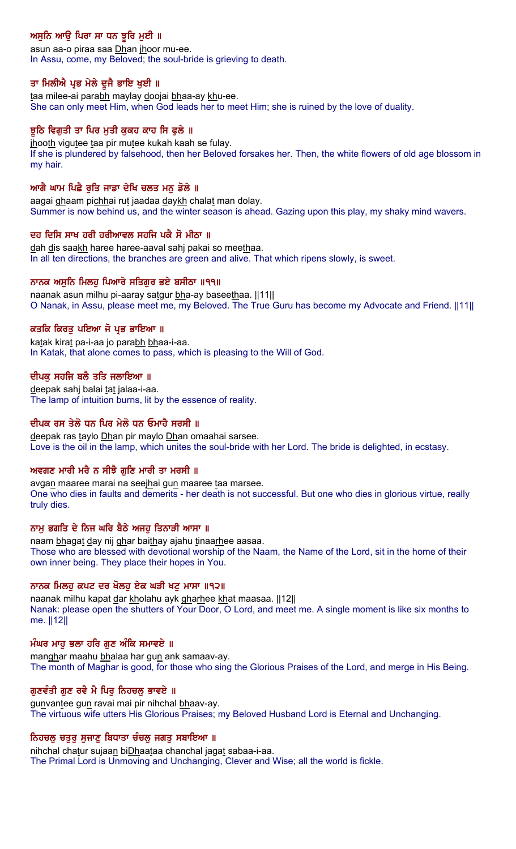# ਅਸੁਨਿ ਆਉ ਪਿਰਾ ਸਾ ਧਨ ਝੁਰਿ ਮੁਈ ॥

asun aa-o piraa saa Dhan jhoor mu-ee. In Assu, come, my Beloved; the soul-bride is grieving to death.

## ਤਾ ਮਿਲੀਐ ਪ੍ਰਭ ਮੇਲੇ ਦੁਜੈ ਭਾਇ ਖੁਈ ॥

taa milee-ai parabh maylay doojai bhaa-ay khu-ee. She can only meet Him, when God leads her to meet Him; she is ruined by the love of duality.

## ਝਠਿ ਵਿਗਤੀ ਤਾ ਪਿਰ ਮਤੀ ਕਕਹ ਕਾਹ ਸਿ ਫਲੇ ॥

jhooth vigutee taa pir mutee kukah kaah se fulay. If she is plundered by falsehood, then her Beloved forsakes her. Then, the white flowers of old age blossom in my hair.

## ਆਗੈ ਘਾਮ ਪਿਛੈ ਰਤਿ ਜਾਡਾ ਦੇਖਿ ਚਲਤ ਮਨ ਡੋਲੇ ॥

aagai ghaam pichhai rut jaadaa daykh chalat man dolay. Summer is now behind us, and the winter season is ahead. Gazing upon this play, my shaky mind wavers.

## ਦਹ ਦਿਸਿ ਸਾਖ ਹਰੀ ਹਰੀਆਵਲ ਸਹਜਿ ਪਕੈ ਸੋ ਮੀਠਾ ॥

dah dis saakh haree haree-aaval sahj pakai so meethaa. In all ten directions, the branches are green and alive. That which ripens slowly, is sweet.

## ਨਾਨਕ ਅਸਨਿ ਮਿਲਹ ਪਿਆਰੇ ਸਤਿਗਰ ਭਏ ਬਸੀਠਾ ॥੧੧॥

naanak asun milhu pi-aaray satgur bha-ay baseethaa. ||11|| O Nanak, in Assu, please meet me, my Beloved. The True Guru has become my Advocate and Friend. ||11||

## ਕਤਕਿ ਕਿਰਤੂ ਪਇਆ ਜੋ ਪ੍ਰਭ ਭਾਇਆ ॥

katak kirat pa-i-aa jo parabh bhaa-i-aa. In Katak, that alone comes to pass, which is pleasing to the Will of God.

## ਦੀਪਕ ਸਹਜਿ ਬਲੈ ਤਤਿ ਜਲਾਇਆ ॥

deepak sahj balai tat jalaa-i-aa. The lamp of intuition burns, lit by the essence of reality.

## ਦੀਪਕ ਰਸ ਤੇਲੋ ਧਨ ਪਿਰ ਮੇਲੋ ਧਨ ਓਮਾਹੈ ਸਰਸੀ ॥

deepak ras taylo Dhan pir maylo Dhan omaahai sarsee. Love is the oil in the lamp, which unites the soul-bride with her Lord. The bride is delighted, in ecstasy.

## ਅਵਗਣ ਮਾਰੀ ਮਰੈ ਨ ਸੀਝੈ ਗਣਿ ਮਾਰੀ ਤਾ ਮਰਸੀ ॥

avgan maaree marai na seejhai gun maaree taa marsee. One who dies in faults and demerits - her death is not successful. But one who dies in glorious virtue, really truly dies.

## ਨਾਮ ਭਗਤਿ ਦੇ ਨਿਜ ਘਰਿ ਬੈਠੇ ਅਜਹ ਤਿਨਾੜੀ ਆਸਾ ॥

naam bhagat day nij ghar baithay ajahu tinaarhee aasaa. Those who are blessed with devotional worship of the Naam, the Name of the Lord, sit in the home of their own inner being. They place their hopes in You.

### ਨਾਨਕ ਮਿਲਹ ਕਪਟ ਦਰ ਖੋਲਹ ਏਕ ਘੜੀ ਖਟ ਮਾਸਾ ॥੧੨॥

naanak milhu kapat dar kholahu ayk gharhee khat maasaa. [12] Nanak: please open the shutters of Your Door, O Lord, and meet me. A single moment is like six months to me. ||12||

### ਮੰਘਰ ਮਾਹ ਭਲਾ ਹਰਿ ਗਣ ਅੰਕਿ ਸਮਾਵਏ ॥

manghar maahu bhalaa har gun ank samaav-ay. The month of Maghar is good, for those who sing the Glorious Praises of the Lord, and merge in His Being.

## ਗਣਵੰਤੀ ਗਣ ਰਵੈ ਮੈ ਪਿਰ ਨਿਹਚਲ ਭਾਵਏ ॥

gunvantee gun ravai mai pir nihchal bhaav-ay. The virtuous wife utters His Glorious Praises; my Beloved Husband Lord is Eternal and Unchanging.

## ਨਿਹਚਲੂ ਚਤੁਰੂ ਸੁਜਾਣੂ ਬਿਧਾਤਾ ਚੌਚਲੂ ਜਗਤੂ ਸਬਾਇਆ ॥

nihchal chatur sujaan biDhaataa chanchal jagat sabaa-i-aa. The Primal Lord is Unmoving and Unchanging, Clever and Wise; all the world is fickle.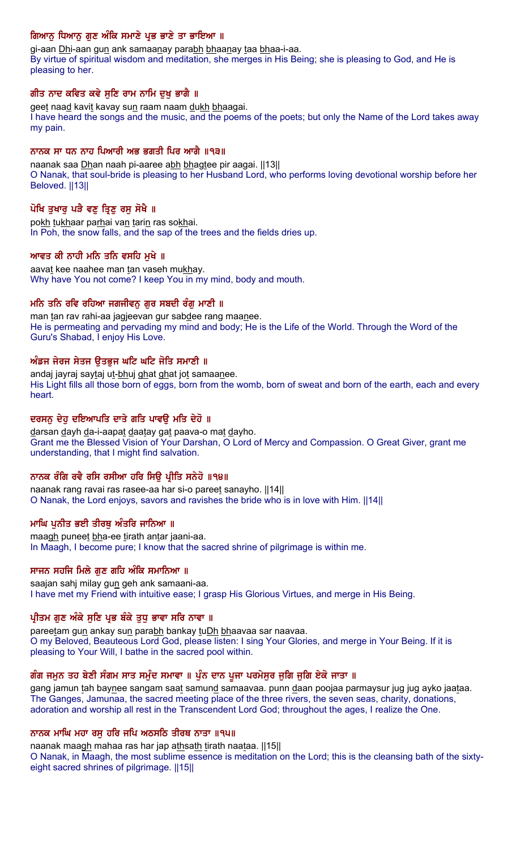## ਗਿਆਨੂ ਧਿਆਨੂ ਗੁਣ ਅੰਕਿ ਸਮਾਣੇ ਪ੍ਰਭ ਭਾਣੇ ਤਾ ਭਾਇਆ ।।

gi-aan Dhi-aan gun ank samaanay parabh bhaanay taa bhaa-i-aa. By virtue of spiritual wisdom and meditation, she merges in His Being; she is pleasing to God, and He is pleasing to her.

## ਗੀਤ ਨਾਦ ਕਵਿਤ ਕਵੇ ਸਣਿ ਰਾਮ ਨਾਮਿ ਦਖ ਭਾਗੈ ॥

geet naad kavit kavay sun raam naam dukh bhaagai. I have heard the songs and the music, and the poems of the poets; but only the Name of the Lord takes away my pain.

## ਨਾਨਕ ਸਾ ਧਨ ਨਾਹ ਪਿਆਰੀ ਅਭ ਭਗਤੀ ਪਿਰ ਆਗੈ ॥੧੩॥

naanak saa Dhan naah pi-aaree abh bhagtee pir aagai. [[13] O Nanak, that soul-bride is pleasing to her Husband Lord, who performs loving devotional worship before her Beloved. ||13||

## ਪੋਖਿ ਤੁਖਾਰੂ ਪੜੈ ਵਣੂ ਤ੍ਰਿਣੂ ਰਸੂ ਸੋਖੈ ॥

pokh tukhaar parhai van tarin ras sokhai. In Poh, the snow falls, and the sap of the trees and the fields dries up.

## ਆਵਤ ਕੀ ਨਾਹੀ ਮਨਿ ਤਨਿ ਵਸਹਿ ਮੁਖੇ ॥

aavat kee naahee man tan vaseh mukhay. Why have You not come? I keep You in my mind, body and mouth.

## ਮਨਿ ਤਨਿ ਰਵਿ ਰਹਿਆ ਜਗਜੀਵਨੁ ਗੁਰ ਸਬਦੀ ਰੰਗੁ ਮਾਣੀ ॥

man tan rav rahi-aa jagjeevan gur sabdee rang maanee. He is permeating and pervading my mind and body; He is the Life of the World. Through the Word of the Guru's Shabad, I enjoy His Love.

## ਅੰਡਜ ਜੇਰਜ ਸੇਤਜ ਉਤਭੁਜ ਘਟਿ ਘਟਿ ਜੋਤਿ ਸਮਾਣੀ ॥

andaj jayraj saytaj ut-bhuj ghat ghat jot samaanee. His Light fills all those born of eggs, born from the womb, born of sweat and born of the earth, each and every heart.

## ਦਰਸਨ ਦੇਹ ਦਇਆਪਤਿ ਦਾਤੇ ਗਤਿ ਪਾਵੳ ਮਤਿ ਦੇਹੋ ॥

darsan dayh da-i-aapat daatay gat paava-o mat dayho. Grant me the Blessed Vision of Your Darshan, O Lord of Mercy and Compassion. O Great Giver, grant me understanding, that I might find salvation.

## ਨਾਨਕ ਰੰਗਿ ਰਵੈ ਰਸਿ ਰਸੀਆ ਹਰਿ ਸਿਉ ਪ੍ਰੀਤਿ ਸਨੇਹੋ ॥੧੪॥

naanak rang ravai ras rasee-aa har si-o pareet sanayho. ||14|| O Nanak, the Lord enjoys, savors and ravishes the bride who is in love with Him. ||14||

### ਮਾਘਿ ਪਨੀਤ ਭਈ ਤੀਰਥ ਅੰਤਰਿ ਜਾਨਿਆ ॥

maagh puneet bha-ee tirath antar jaani-aa. In Maagh, I become pure; I know that the sacred shrine of pilgrimage is within me.

### ਸਾਜਨ ਸਹਜਿ ਮਿਲੇ ਗਣ ਗਹਿ ਅੰਕਿ ਸਮਾਨਿਆ ॥

saajan sahj milay gun geh ank samaani-aa. I have met my Friend with intuitive ease; I grasp His Glorious Virtues, and merge in His Being.

## ਪ੍ਰੀਤਮ ਗੁਣ ਅੰਕੇ ਸੁਣਿ ਪ੍ਰਭ ਬੰਕੇ ਤੁਧੁ ਭਾਵਾ ਸਰਿ ਨਾਵਾ ॥

pareetam gun ankay sun parabh bankay tuDh bhaavaa sar naavaa. O my Beloved, Beauteous Lord God, please listen: I sing Your Glories, and merge in Your Being. If it is pleasing to Your Will, I bathe in the sacred pool within.

## ਗੰਗ ਜਮੂਨ ਤਹ ਬੇਣੀ ਸੰਗਮ ਸਾਤ ਸਮੁੱਦ ਸਮਾਵਾ ॥ ਪੁੱਨ ਦਾਨ ਪੂਜਾ ਪਰਮੇਸੁਰ ਜੁਗਿ ਜੁਗਿ ਏਕੋ ਜਾਤਾ ॥

gang jamun tah baynee sangam saat samund samaavaa. punn daan poojaa parmaysur jug jug ayko jaataa. The Ganges, Jamunaa, the sacred meeting place of the three rivers, the seven seas, charity, donations, adoration and worship all rest in the Transcendent Lord God; throughout the ages, I realize the One.

### ਨਾਨਕ ਮਾਘਿ ਮਹਾ ਰਸ ਹਰਿ ਜਪਿ ਅਠਸਠਿ ਤੀਰਥ ਨਾਤਾ ॥੧੫॥

naanak maagh mahaa ras har jap athsath tirath naataa. [[15][ O Nanak, in Maagh, the most sublime essence is meditation on the Lord; this is the cleansing bath of the sixtyeight sacred shrines of pilgrimage. ||15||